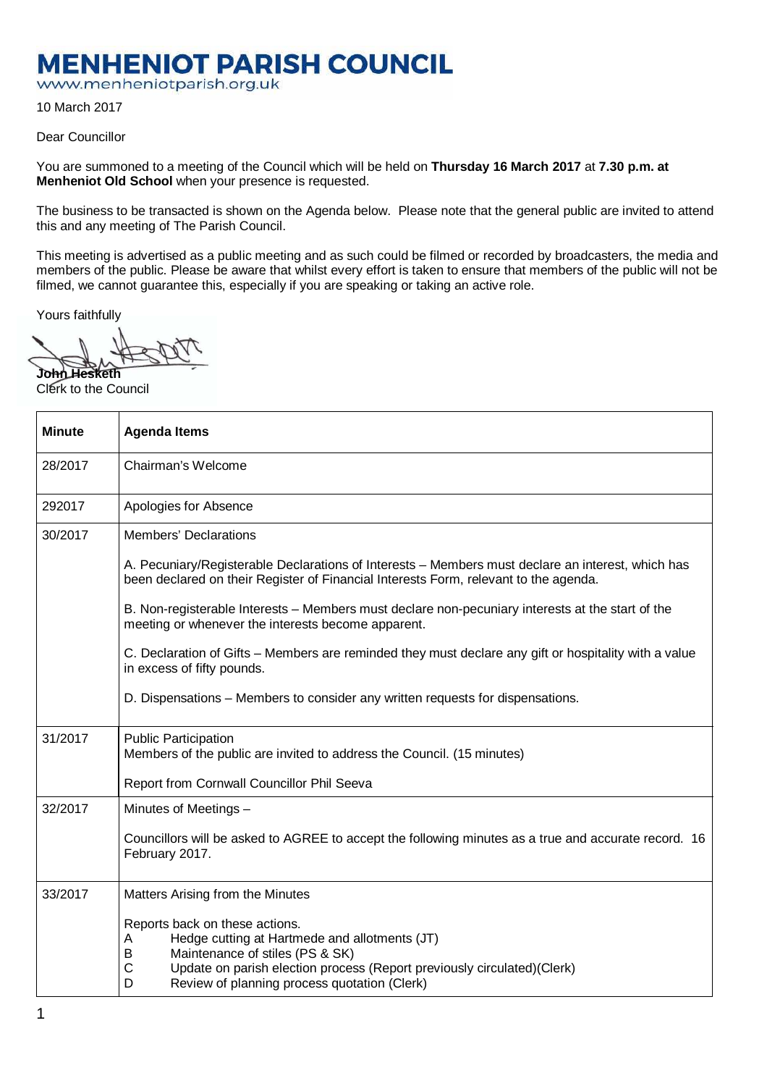## **MENHENIOT PARISH COUNCIL**

www.menheniotparish.org.uk

10 March 2017

Dear Councillor

You are summoned to a meeting of the Council which will be held on **Thursday 16 March 2017** at **7.30 p.m. at Menheniot Old School** when your presence is requested.

The business to be transacted is shown on the Agenda below. Please note that the general public are invited to attend this and any meeting of The Parish Council.

This meeting is advertised as a public meeting and as such could be filmed or recorded by broadcasters, the media and members of the public. Please be aware that whilst every effort is taken to ensure that members of the public will not be filmed, we cannot guarantee this, especially if you are speaking or taking an active role.

Yours faithfully

**John Hesketh**  Clerk to the Council

| <b>Minute</b> | <b>Agenda Items</b>                                                                                                                                                                                                                                               |  |  |  |  |  |
|---------------|-------------------------------------------------------------------------------------------------------------------------------------------------------------------------------------------------------------------------------------------------------------------|--|--|--|--|--|
| 28/2017       | Chairman's Welcome                                                                                                                                                                                                                                                |  |  |  |  |  |
| 292017        | Apologies for Absence                                                                                                                                                                                                                                             |  |  |  |  |  |
| 30/2017       | <b>Members' Declarations</b>                                                                                                                                                                                                                                      |  |  |  |  |  |
|               | A. Pecuniary/Registerable Declarations of Interests – Members must declare an interest, which has<br>been declared on their Register of Financial Interests Form, relevant to the agenda.                                                                         |  |  |  |  |  |
|               | B. Non-registerable Interests - Members must declare non-pecuniary interests at the start of the<br>meeting or whenever the interests become apparent.                                                                                                            |  |  |  |  |  |
|               | C. Declaration of Gifts – Members are reminded they must declare any gift or hospitality with a value<br>in excess of fifty pounds.                                                                                                                               |  |  |  |  |  |
|               | D. Dispensations – Members to consider any written requests for dispensations.                                                                                                                                                                                    |  |  |  |  |  |
| 31/2017       | <b>Public Participation</b><br>Members of the public are invited to address the Council. (15 minutes)                                                                                                                                                             |  |  |  |  |  |
|               | Report from Cornwall Councillor Phil Seeva                                                                                                                                                                                                                        |  |  |  |  |  |
| 32/2017       | Minutes of Meetings -                                                                                                                                                                                                                                             |  |  |  |  |  |
|               | Councillors will be asked to AGREE to accept the following minutes as a true and accurate record. 16<br>February 2017.                                                                                                                                            |  |  |  |  |  |
| 33/2017       | Matters Arising from the Minutes                                                                                                                                                                                                                                  |  |  |  |  |  |
|               | Reports back on these actions.<br>Hedge cutting at Hartmede and allotments (JT)<br>A<br>Maintenance of stiles (PS & SK)<br>B<br>C<br>Update on parish election process (Report previously circulated)(Clerk)<br>Review of planning process quotation (Clerk)<br>D |  |  |  |  |  |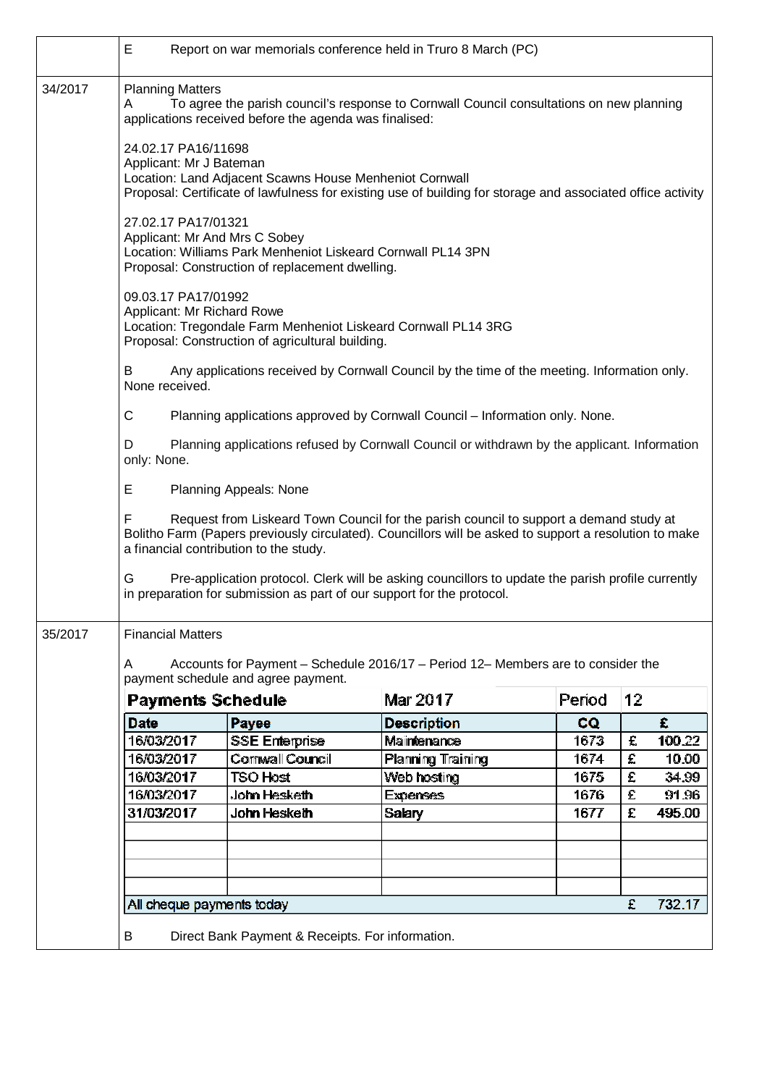|         | Е<br>Report on war memorials conference held in Truro 8 March (PC)                                                                                                                                                                              |                       |                    |           |    |        |  |  |  |  |
|---------|-------------------------------------------------------------------------------------------------------------------------------------------------------------------------------------------------------------------------------------------------|-----------------------|--------------------|-----------|----|--------|--|--|--|--|
| 34/2017 | <b>Planning Matters</b><br>To agree the parish council's response to Cornwall Council consultations on new planning<br>A<br>applications received before the agenda was finalised:                                                              |                       |                    |           |    |        |  |  |  |  |
|         | 24.02.17 PA16/11698<br>Applicant: Mr J Bateman<br>Location: Land Adjacent Scawns House Menheniot Cornwall<br>Proposal: Certificate of lawfulness for existing use of building for storage and associated office activity                        |                       |                    |           |    |        |  |  |  |  |
|         | 27.02.17 PA17/01321<br>Applicant: Mr And Mrs C Sobey<br>Location: Williams Park Menheniot Liskeard Cornwall PL14 3PN<br>Proposal: Construction of replacement dwelling.                                                                         |                       |                    |           |    |        |  |  |  |  |
|         |                                                                                                                                                                                                                                                 |                       |                    |           |    |        |  |  |  |  |
|         | B<br>Any applications received by Cornwall Council by the time of the meeting. Information only.<br>None received.                                                                                                                              |                       |                    |           |    |        |  |  |  |  |
|         | $\mathsf C$<br>Planning applications approved by Cornwall Council - Information only. None.                                                                                                                                                     |                       |                    |           |    |        |  |  |  |  |
|         | D<br>Planning applications refused by Cornwall Council or withdrawn by the applicant. Information<br>only: None.                                                                                                                                |                       |                    |           |    |        |  |  |  |  |
|         | Е<br>Planning Appeals: None                                                                                                                                                                                                                     |                       |                    |           |    |        |  |  |  |  |
|         | F<br>Request from Liskeard Town Council for the parish council to support a demand study at<br>Bolitho Farm (Papers previously circulated). Councillors will be asked to support a resolution to make<br>a financial contribution to the study. |                       |                    |           |    |        |  |  |  |  |
|         | Pre-application protocol. Clerk will be asking councillors to update the parish profile currently<br>G<br>in preparation for submission as part of our support for the protocol.                                                                |                       |                    |           |    |        |  |  |  |  |
| 35/2017 | <b>Financial Matters</b>                                                                                                                                                                                                                        |                       |                    |           |    |        |  |  |  |  |
|         | Accounts for Payment - Schedule 2016/17 - Period 12- Members are to consider the<br>A<br>payment schedule and agree payment.                                                                                                                    |                       |                    |           |    |        |  |  |  |  |
|         | <b>Payments Schedule</b>                                                                                                                                                                                                                        |                       | Mar 2017           | Period    | 12 |        |  |  |  |  |
|         | <b>Date</b>                                                                                                                                                                                                                                     | Payee                 | <b>Description</b> | <b>CQ</b> |    | £      |  |  |  |  |
|         | 16/03/2017                                                                                                                                                                                                                                      | <b>SSE Enterprise</b> | Maintenance        | 1673      | £  | 100.22 |  |  |  |  |
|         | 16/03/2017                                                                                                                                                                                                                                      | Cornwall Council      | Planning Training  | 1674      | £  | 10.00  |  |  |  |  |
|         | 16/03/2017                                                                                                                                                                                                                                      | <b>TSO Host</b>       | Web hosting        | 1675      | £  | 34.99  |  |  |  |  |
|         | 16/03/2017                                                                                                                                                                                                                                      | John Hesketh          | <b>Expenses</b>    | 1676      | £  | 91.96  |  |  |  |  |
|         | 31/03/2017                                                                                                                                                                                                                                      | John Hesketh          | <b>Salary</b>      | 1677      | £  | 495.00 |  |  |  |  |
|         |                                                                                                                                                                                                                                                 |                       |                    |           |    |        |  |  |  |  |
|         |                                                                                                                                                                                                                                                 |                       |                    |           |    |        |  |  |  |  |
|         |                                                                                                                                                                                                                                                 |                       |                    |           | £  | 732.17 |  |  |  |  |
|         | All cheque payments today                                                                                                                                                                                                                       |                       |                    |           |    |        |  |  |  |  |
|         | B<br>Direct Bank Payment & Receipts. For information.                                                                                                                                                                                           |                       |                    |           |    |        |  |  |  |  |